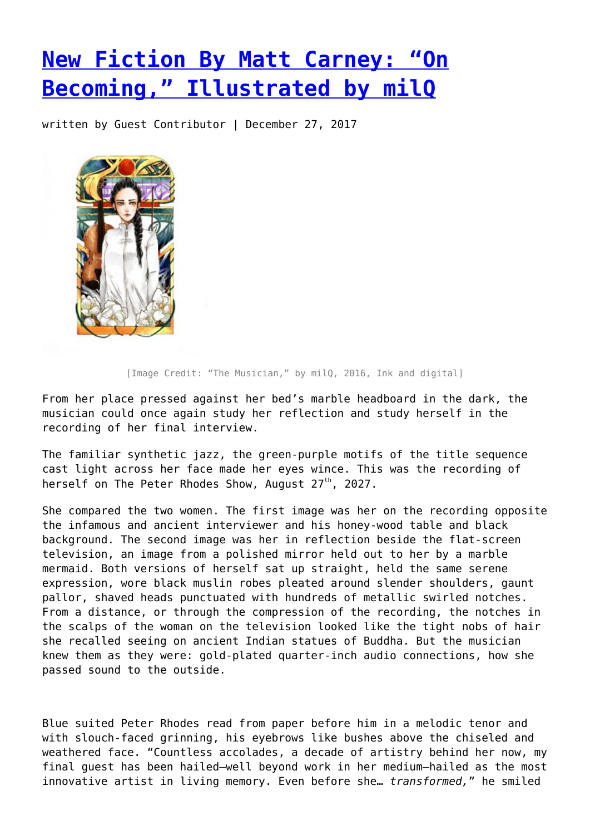## **[New Fiction By Matt Carney: "On](https://entropymag.org/new-fiction-by-matt-carney-on-becoming-illustrated-by-milq/) [Becoming," Illustrated by milQ](https://entropymag.org/new-fiction-by-matt-carney-on-becoming-illustrated-by-milq/)**

written by Guest Contributor | December 27, 2017



[Image Credit: "The Musician," by milQ, 2016, Ink and digital]

From her place pressed against her bed's marble headboard in the dark, the musician could once again study her reflection and study herself in the recording of her final interview.

The familiar synthetic jazz, the green-purple motifs of the title sequence cast light across her face made her eyes wince. This was the recording of herself on The Peter Rhodes Show, August 27<sup>th</sup>, 2027.

She compared the two women. The first image was her on the recording opposite the infamous and ancient interviewer and his honey-wood table and black background. The second image was her in reflection beside the flat-screen television, an image from a polished mirror held out to her by a marble mermaid. Both versions of herself sat up straight, held the same serene expression, wore black muslin robes pleated around slender shoulders, gaunt pallor, shaved heads punctuated with hundreds of metallic swirled notches. From a distance, or through the compression of the recording, the notches in the scalps of the woman on the television looked like the tight nobs of hair she recalled seeing on ancient Indian statues of Buddha. But the musician knew them as they were: gold-plated quarter-inch audio connections, how she passed sound to the outside.

Blue suited Peter Rhodes read from paper before him in a melodic tenor and with slouch-faced grinning, his eyebrows like bushes above the chiseled and weathered face. "Countless accolades, a decade of artistry behind her now, my final guest has been hailed—well beyond work in her medium—hailed as the most innovative artist in living memory. Even before she… *transformed,*" he smiled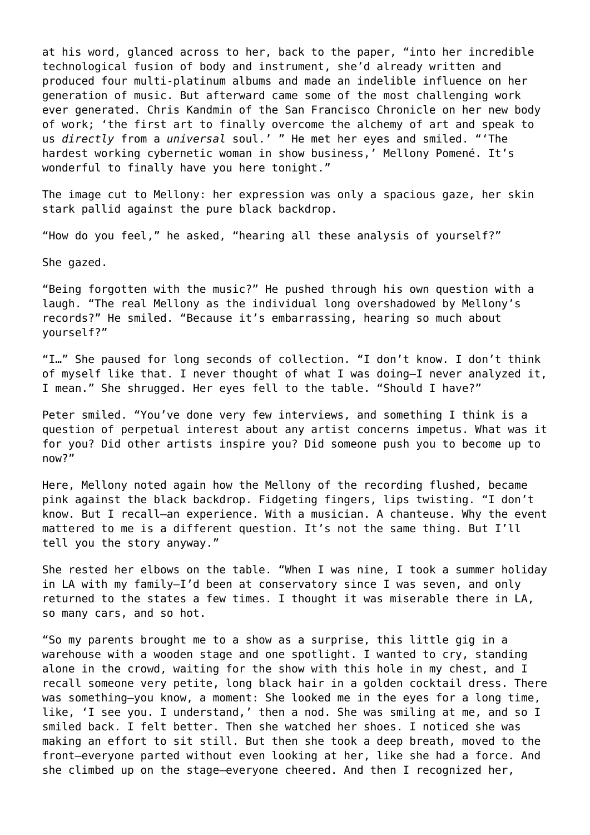at his word, glanced across to her, back to the paper, "into her incredible technological fusion of body and instrument, she'd already written and produced four multi-platinum albums and made an indelible influence on her generation of music. But afterward came some of the most challenging work ever generated. Chris Kandmin of the San Francisco Chronicle on her new body of work; 'the first art to finally overcome the alchemy of art and speak to us *directly* from a *universal* soul.' " He met her eyes and smiled. "'The hardest working cybernetic woman in show business,' Mellony Pomené. It's wonderful to finally have you here tonight."

The image cut to Mellony: her expression was only a spacious gaze, her skin stark pallid against the pure black backdrop.

"How do you feel," he asked, "hearing all these analysis of yourself?"

She gazed.

"Being forgotten with the music?" He pushed through his own question with a laugh. "The real Mellony as the individual long overshadowed by Mellony's records?" He smiled. "Because it's embarrassing, hearing so much about yourself?"

"I…" She paused for long seconds of collection. "I don't know. I don't think of myself like that. I never thought of what I was doing—I never analyzed it, I mean." She shrugged. Her eyes fell to the table. "Should I have?"

Peter smiled. "You've done very few interviews, and something I think is a question of perpetual interest about any artist concerns impetus. What was it for you? Did other artists inspire you? Did someone push you to become up to now?"

Here, Mellony noted again how the Mellony of the recording flushed, became pink against the black backdrop. Fidgeting fingers, lips twisting. "I don't know. But I recall—an experience. With a musician. A chanteuse. Why the event mattered to me is a different question. It's not the same thing. But I'll tell you the story anyway."

She rested her elbows on the table. "When I was nine, I took a summer holiday in LA with my family—I'd been at conservatory since I was seven, and only returned to the states a few times. I thought it was miserable there in LA, so many cars, and so hot.

"So my parents brought me to a show as a surprise, this little gig in a warehouse with a wooden stage and one spotlight. I wanted to cry, standing alone in the crowd, waiting for the show with this hole in my chest, and I recall someone very petite, long black hair in a golden cocktail dress. There was something—you know, a moment: She looked me in the eyes for a long time, like, 'I see you. I understand,' then a nod. She was smiling at me, and so I smiled back. I felt better. Then she watched her shoes. I noticed she was making an effort to sit still. But then she took a deep breath, moved to the front—everyone parted without even looking at her, like she had a force. And she climbed up on the stage—everyone cheered. And then I recognized her,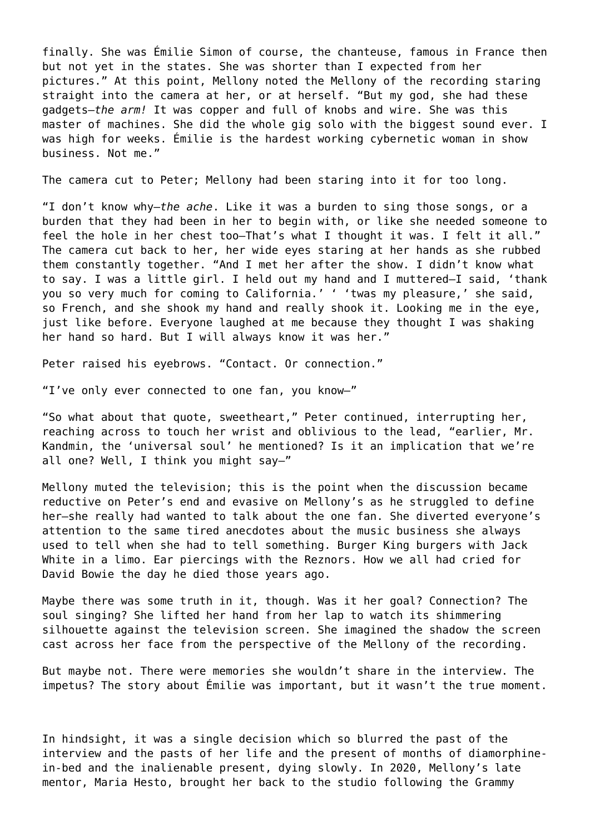finally. She was Émilie Simon of course, the chanteuse, famous in France then but not yet in the states. She was shorter than I expected from her pictures." At this point, Mellony noted the Mellony of the recording staring straight into the camera at her, or at herself. "But my god, she had these gadgets—*the arm!* It was copper and full of knobs and wire. She was this master of machines. She did the whole gig solo with the biggest sound ever. I was high for weeks. Émilie is the hardest working cybernetic woman in show business. Not me."

The camera cut to Peter; Mellony had been staring into it for too long.

"I don't know why—*the ache*. Like it was a burden to sing those songs, or a burden that they had been in her to begin with, or like she needed someone to feel the hole in her chest too—That's what I thought it was. I felt it all." The camera cut back to her, her wide eyes staring at her hands as she rubbed them constantly together. "And I met her after the show. I didn't know what to say. I was a little girl. I held out my hand and I muttered—I said, 'thank you so very much for coming to California.' ' 'twas my pleasure,' she said, so French, and she shook my hand and really shook it. Looking me in the eye, just like before. Everyone laughed at me because they thought I was shaking her hand so hard. But I will always know it was her."

Peter raised his eyebrows. "Contact. Or connection."

"I've only ever connected to one fan, you know—"

"So what about that quote, sweetheart," Peter continued, interrupting her, reaching across to touch her wrist and oblivious to the lead, "earlier, Mr. Kandmin, the 'universal soul' he mentioned? Is it an implication that we're all one? Well, I think you might say—"

Mellony muted the television; this is the point when the discussion became reductive on Peter's end and evasive on Mellony's as he struggled to define her—she really had wanted to talk about the one fan. She diverted everyone's attention to the same tired anecdotes about the music business she always used to tell when she had to tell something. Burger King burgers with Jack White in a limo. Ear piercings with the Reznors. How we all had cried for David Bowie the day he died those years ago.

Maybe there was some truth in it, though. Was it her goal? Connection? The soul singing? She lifted her hand from her lap to watch its shimmering silhouette against the television screen. She imagined the shadow the screen cast across her face from the perspective of the Mellony of the recording.

But maybe not. There were memories she wouldn't share in the interview. The impetus? The story about Émilie was important, but it wasn't the true moment.

In hindsight, it was a single decision which so blurred the past of the interview and the pasts of her life and the present of months of diamorphinein-bed and the inalienable present, dying slowly. In 2020, Mellony's late mentor, Maria Hesto, brought her back to the studio following the Grammy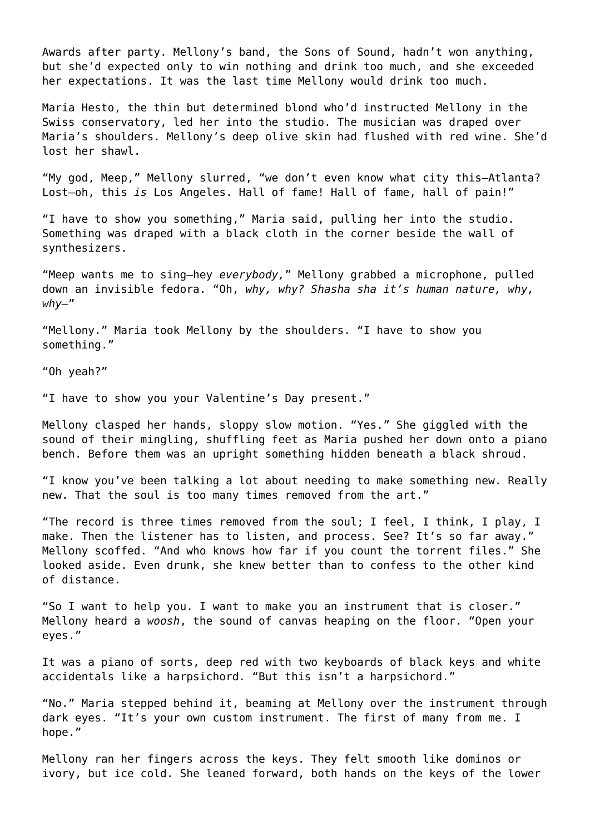Awards after party. Mellony's band, the Sons of Sound, hadn't won anything, but she'd expected only to win nothing and drink too much, and she exceeded her expectations. It was the last time Mellony would drink too much.

Maria Hesto, the thin but determined blond who'd instructed Mellony in the Swiss conservatory, led her into the studio. The musician was draped over Maria's shoulders. Mellony's deep olive skin had flushed with red wine. She'd lost her shawl.

"My god, Meep," Mellony slurred, "we don't even know what city this—Atlanta? Lost—oh, this *is* Los Angeles. Hall of fame! Hall of fame, hall of pain!"

"I have to show you something," Maria said, pulling her into the studio. Something was draped with a black cloth in the corner beside the wall of synthesizers.

"Meep wants me to sing—hey *everybody,*" Mellony grabbed a microphone, pulled down an invisible fedora. "Oh, *why, why? Shasha sha it's human nature, why, why—*"

"Mellony." Maria took Mellony by the shoulders. "I have to show you something."

"Oh yeah?"

"I have to show you your Valentine's Day present."

Mellony clasped her hands, sloppy slow motion. "Yes." She giggled with the sound of their mingling, shuffling feet as Maria pushed her down onto a piano bench. Before them was an upright something hidden beneath a black shroud.

"I know you've been talking a lot about needing to make something new. Really new. That the soul is too many times removed from the art."

"The record is three times removed from the soul; I feel, I think, I play, I make. Then the listener has to listen, and process. See? It's so far away." Mellony scoffed. "And who knows how far if you count the torrent files." She looked aside. Even drunk, she knew better than to confess to the other kind of distance.

"So I want to help you. I want to make you an instrument that is closer." Mellony heard a *woosh*, the sound of canvas heaping on the floor. "Open your eyes."

It was a piano of sorts, deep red with two keyboards of black keys and white accidentals like a harpsichord. "But this isn't a harpsichord."

"No." Maria stepped behind it, beaming at Mellony over the instrument through dark eyes. "It's your own custom instrument. The first of many from me. I hope."

Mellony ran her fingers across the keys. They felt smooth like dominos or ivory, but ice cold. She leaned forward, both hands on the keys of the lower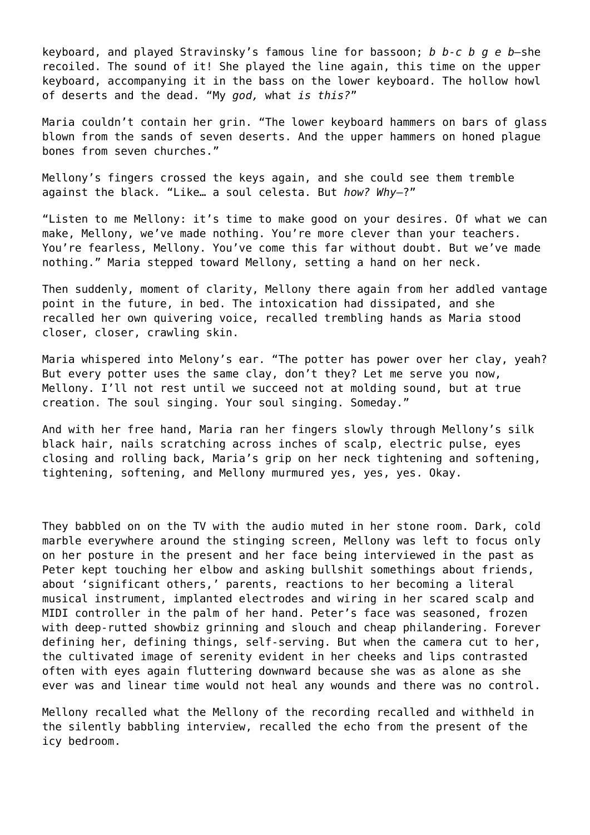keyboard, and played Stravinsky's famous line for bassoon; *b b-c b g e b—*she recoiled. The sound of it! She played the line again, this time on the upper keyboard, accompanying it in the bass on the lower keyboard. The hollow howl of deserts and the dead. "My *god,* what *is this?*"

Maria couldn't contain her grin. "The lower keyboard hammers on bars of glass blown from the sands of seven deserts. And the upper hammers on honed plague bones from seven churches."

Mellony's fingers crossed the keys again, and she could see them tremble against the black. "Like… a soul celesta. But *how? Why*—?"

"Listen to me Mellony: it's time to make good on your desires. Of what we can make, Mellony, we've made nothing. You're more clever than your teachers. You're fearless, Mellony. You've come this far without doubt. But we've made nothing." Maria stepped toward Mellony, setting a hand on her neck.

Then suddenly, moment of clarity, Mellony there again from her addled vantage point in the future, in bed. The intoxication had dissipated, and she recalled her own quivering voice, recalled trembling hands as Maria stood closer, closer, crawling skin.

Maria whispered into Melony's ear. "The potter has power over her clay, yeah? But every potter uses the same clay, don't they? Let me serve you now, Mellony. I'll not rest until we succeed not at molding sound, but at true creation. The soul singing. Your soul singing. Someday."

And with her free hand, Maria ran her fingers slowly through Mellony's silk black hair, nails scratching across inches of scalp, electric pulse, eyes closing and rolling back, Maria's grip on her neck tightening and softening, tightening, softening, and Mellony murmured yes, yes, yes. Okay.

They babbled on on the TV with the audio muted in her stone room. Dark, cold marble everywhere around the stinging screen, Mellony was left to focus only on her posture in the present and her face being interviewed in the past as Peter kept touching her elbow and asking bullshit somethings about friends, about 'significant others,' parents, reactions to her becoming a literal musical instrument, implanted electrodes and wiring in her scared scalp and MIDI controller in the palm of her hand. Peter's face was seasoned, frozen with deep-rutted showbiz grinning and slouch and cheap philandering. Forever defining her, defining things, self-serving. But when the camera cut to her, the cultivated image of serenity evident in her cheeks and lips contrasted often with eyes again fluttering downward because she was as alone as she ever was and linear time would not heal any wounds and there was no control.

Mellony recalled what the Mellony of the recording recalled and withheld in the silently babbling interview, recalled the echo from the present of the icy bedroom.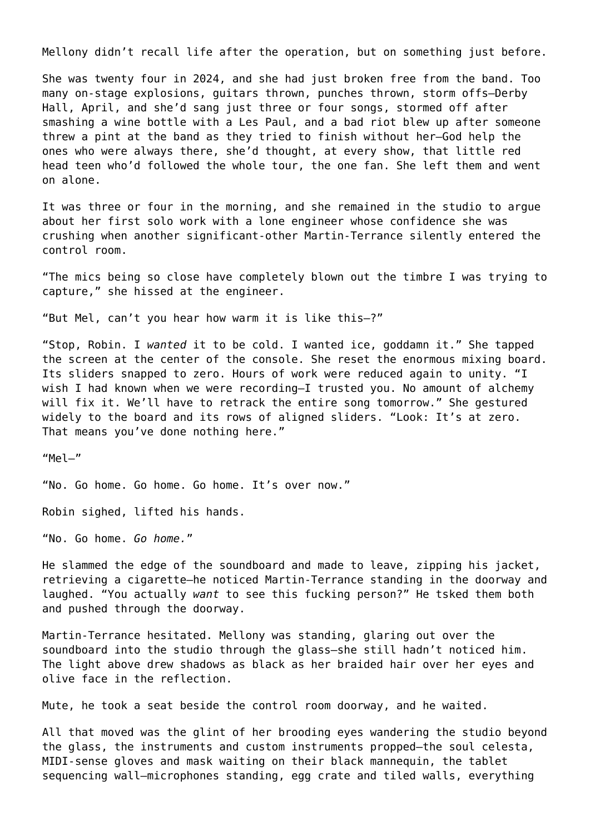Mellony didn't recall life after the operation, but on something just before.

She was twenty four in 2024, and she had just broken free from the band. Too many on-stage explosions, guitars thrown, punches thrown, storm offs—Derby Hall, April, and she'd sang just three or four songs, stormed off after smashing a wine bottle with a Les Paul, and a bad riot blew up after someone threw a pint at the band as they tried to finish without her—God help the ones who were always there, she'd thought, at every show, that little red head teen who'd followed the whole tour, the one fan. She left them and went on alone.

It was three or four in the morning, and she remained in the studio to argue about her first solo work with a lone engineer whose confidence she was crushing when another significant-other Martin-Terrance silently entered the control room.

"The mics being so close have completely blown out the timbre I was trying to capture," she hissed at the engineer.

"But Mel, can't you hear how warm it is like this—?"

"Stop, Robin. I *wanted* it to be cold. I wanted ice, goddamn it." She tapped the screen at the center of the console. She reset the enormous mixing board. Its sliders snapped to zero. Hours of work were reduced again to unity. "I wish I had known when we were recording-I trusted you. No amount of alchemy will fix it. We'll have to retrack the entire song tomorrow." She gestured widely to the board and its rows of aligned sliders. "Look: It's at zero. That means you've done nothing here."

"Mel—"

"No. Go home. Go home. Go home. It's over now."

Robin sighed, lifted his hands.

"No. Go home. *Go home.*"

He slammed the edge of the soundboard and made to leave, zipping his jacket, retrieving a cigarette—he noticed Martin-Terrance standing in the doorway and laughed. "You actually *want* to see this fucking person?" He tsked them both and pushed through the doorway.

Martin-Terrance hesitated. Mellony was standing, glaring out over the soundboard into the studio through the glass—she still hadn't noticed him. The light above drew shadows as black as her braided hair over her eyes and olive face in the reflection.

Mute, he took a seat beside the control room doorway, and he waited.

All that moved was the glint of her brooding eyes wandering the studio beyond the glass, the instruments and custom instruments propped—the soul celesta, MIDI-sense gloves and mask waiting on their black mannequin, the tablet sequencing wall—microphones standing, egg crate and tiled walls, everything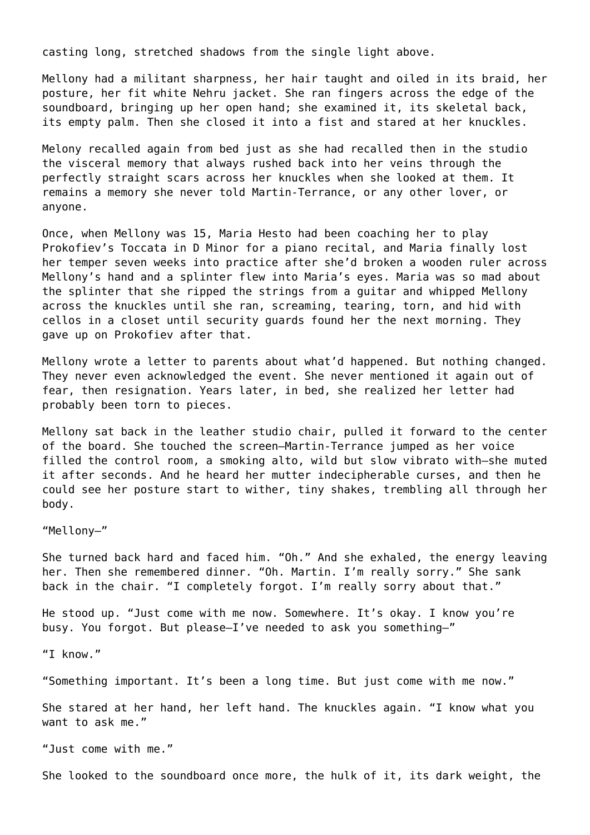casting long, stretched shadows from the single light above.

Mellony had a militant sharpness, her hair taught and oiled in its braid, her posture, her fit white Nehru jacket. She ran fingers across the edge of the soundboard, bringing up her open hand; she examined it, its skeletal back, its empty palm. Then she closed it into a fist and stared at her knuckles.

Melony recalled again from bed just as she had recalled then in the studio the visceral memory that always rushed back into her veins through the perfectly straight scars across her knuckles when she looked at them. It remains a memory she never told Martin-Terrance, or any other lover, or anyone.

Once, when Mellony was 15, Maria Hesto had been coaching her to play Prokofiev's Toccata in D Minor for a piano recital, and Maria finally lost her temper seven weeks into practice after she'd broken a wooden ruler across Mellony's hand and a splinter flew into Maria's eyes. Maria was so mad about the splinter that she ripped the strings from a guitar and whipped Mellony across the knuckles until she ran, screaming, tearing, torn, and hid with cellos in a closet until security guards found her the next morning. They gave up on Prokofiev after that.

Mellony wrote a letter to parents about what'd happened. But nothing changed. They never even acknowledged the event. She never mentioned it again out of fear, then resignation. Years later, in bed, she realized her letter had probably been torn to pieces.

Mellony sat back in the leather studio chair, pulled it forward to the center of the board. She touched the screen—Martin-Terrance jumped as her voice filled the control room, a smoking alto, wild but slow vibrato with—she muted it after seconds. And he heard her mutter indecipherable curses, and then he could see her posture start to wither, tiny shakes, trembling all through her body.

"Mellony—"

She turned back hard and faced him. "Oh." And she exhaled, the energy leaving her. Then she remembered dinner. "Oh. Martin. I'm really sorry." She sank back in the chair. "I completely forgot. I'm really sorry about that."

He stood up. "Just come with me now. Somewhere. It's okay. I know you're busy. You forgot. But please—I've needed to ask you something—"

"I know."

"Something important. It's been a long time. But just come with me now."

She stared at her hand, her left hand. The knuckles again. "I know what you want to ask me."

"Just come with me."

She looked to the soundboard once more, the hulk of it, its dark weight, the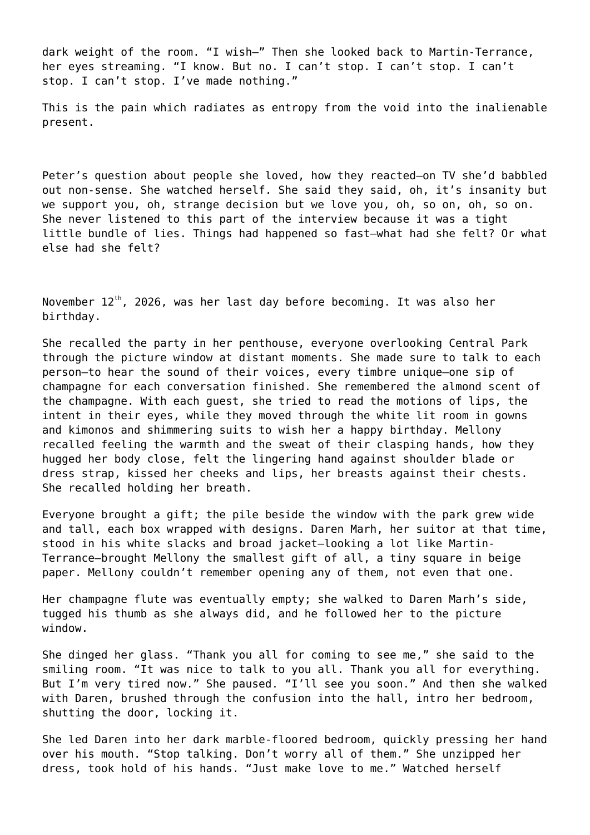dark weight of the room. "I wish—" Then she looked back to Martin-Terrance, her eyes streaming. "I know. But no. I can't stop. I can't stop. I can't stop. I can't stop. I've made nothing."

This is the pain which radiates as entropy from the void into the inalienable present.

Peter's question about people she loved, how they reacted—on TV she'd babbled out non-sense. She watched herself. She said they said, oh, it's insanity but we support you, oh, strange decision but we love you, oh, so on, oh, so on. She never listened to this part of the interview because it was a tight little bundle of lies. Things had happened so fast—what had she felt? Or what else had she felt?

November  $12^{th}$ , 2026, was her last day before becoming. It was also her birthday.

She recalled the party in her penthouse, everyone overlooking Central Park through the picture window at distant moments. She made sure to talk to each person—to hear the sound of their voices, every timbre unique—one sip of champagne for each conversation finished. She remembered the almond scent of the champagne. With each guest, she tried to read the motions of lips, the intent in their eyes, while they moved through the white lit room in gowns and kimonos and shimmering suits to wish her a happy birthday. Mellony recalled feeling the warmth and the sweat of their clasping hands, how they hugged her body close, felt the lingering hand against shoulder blade or dress strap, kissed her cheeks and lips, her breasts against their chests. She recalled holding her breath.

Everyone brought a gift; the pile beside the window with the park grew wide and tall, each box wrapped with designs. Daren Marh, her suitor at that time, stood in his white slacks and broad jacket—looking a lot like Martin-Terrance—brought Mellony the smallest gift of all, a tiny square in beige paper. Mellony couldn't remember opening any of them, not even that one.

Her champagne flute was eventually empty; she walked to Daren Marh's side, tugged his thumb as she always did, and he followed her to the picture window.

She dinged her glass. "Thank you all for coming to see me," she said to the smiling room. "It was nice to talk to you all. Thank you all for everything. But I'm very tired now." She paused. "I'll see you soon." And then she walked with Daren, brushed through the confusion into the hall, intro her bedroom, shutting the door, locking it.

She led Daren into her dark marble-floored bedroom, quickly pressing her hand over his mouth. "Stop talking. Don't worry all of them." She unzipped her dress, took hold of his hands. "Just make love to me." Watched herself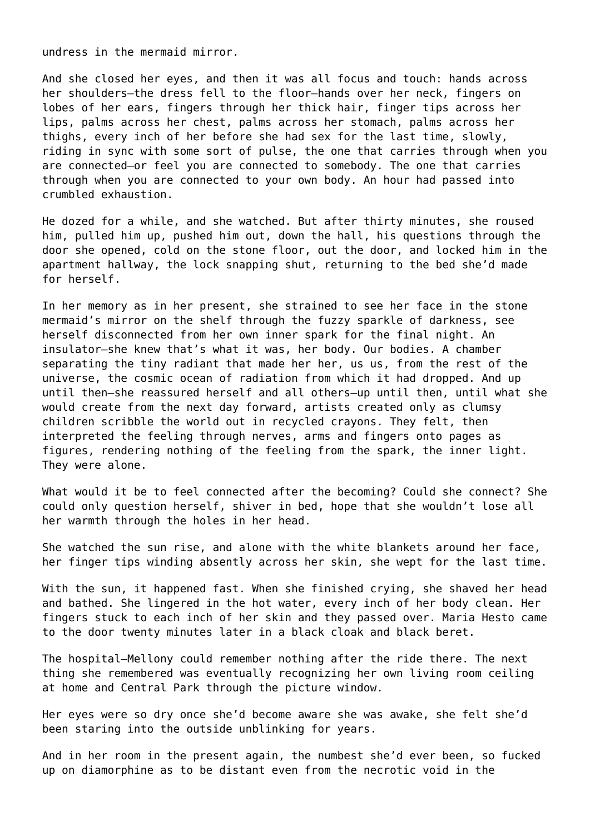undress in the mermaid mirror.

And she closed her eyes, and then it was all focus and touch: hands across her shoulders—the dress fell to the floor—hands over her neck, fingers on lobes of her ears, fingers through her thick hair, finger tips across her lips, palms across her chest, palms across her stomach, palms across her thighs, every inch of her before she had sex for the last time, slowly, riding in sync with some sort of pulse, the one that carries through when you are connected—or feel you are connected to somebody. The one that carries through when you are connected to your own body. An hour had passed into crumbled exhaustion.

He dozed for a while, and she watched. But after thirty minutes, she roused him, pulled him up, pushed him out, down the hall, his questions through the door she opened, cold on the stone floor, out the door, and locked him in the apartment hallway, the lock snapping shut, returning to the bed she'd made for herself.

In her memory as in her present, she strained to see her face in the stone mermaid's mirror on the shelf through the fuzzy sparkle of darkness, see herself disconnected from her own inner spark for the final night. An insulator—she knew that's what it was, her body. Our bodies. A chamber separating the tiny radiant that made her her, us us, from the rest of the universe, the cosmic ocean of radiation from which it had dropped. And up until then—she reassured herself and all others—up until then, until what she would create from the next day forward, artists created only as clumsy children scribble the world out in recycled crayons. They felt, then interpreted the feeling through nerves, arms and fingers onto pages as figures, rendering nothing of the feeling from the spark, the inner light. They were alone.

What would it be to feel connected after the becoming? Could she connect? She could only question herself, shiver in bed, hope that she wouldn't lose all her warmth through the holes in her head.

She watched the sun rise, and alone with the white blankets around her face, her finger tips winding absently across her skin, she wept for the last time.

With the sun, it happened fast. When she finished crying, she shaved her head and bathed. She lingered in the hot water, every inch of her body clean. Her fingers stuck to each inch of her skin and they passed over. Maria Hesto came to the door twenty minutes later in a black cloak and black beret.

The hospital—Mellony could remember nothing after the ride there. The next thing she remembered was eventually recognizing her own living room ceiling at home and Central Park through the picture window.

Her eyes were so dry once she'd become aware she was awake, she felt she'd been staring into the outside unblinking for years.

And in her room in the present again, the numbest she'd ever been, so fucked up on diamorphine as to be distant even from the necrotic void in the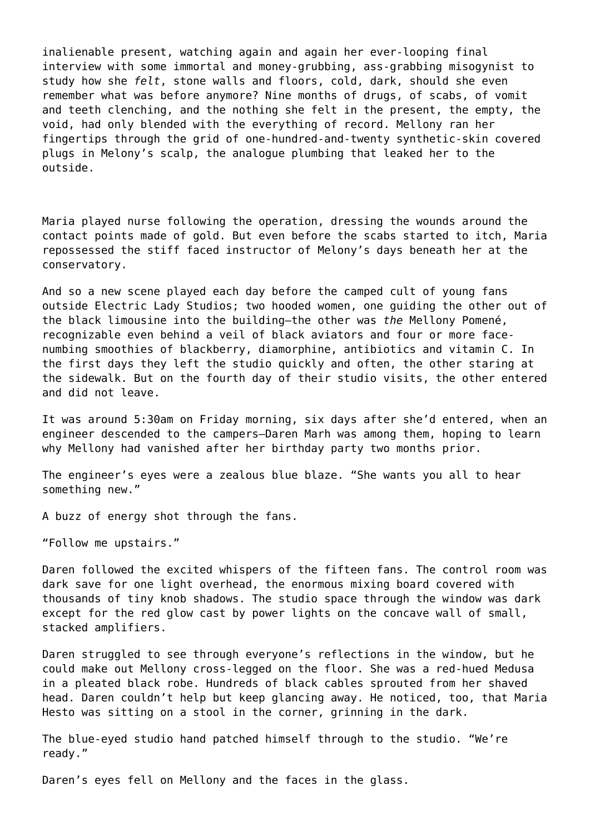inalienable present, watching again and again her ever-looping final interview with some immortal and money-grubbing, ass-grabbing misogynist to study how she *felt*, stone walls and floors, cold, dark, should she even remember what was before anymore? Nine months of drugs, of scabs, of vomit and teeth clenching, and the nothing she felt in the present, the empty, the void, had only blended with the everything of record. Mellony ran her fingertips through the grid of one-hundred-and-twenty synthetic-skin covered plugs in Melony's scalp, the analogue plumbing that leaked her to the outside.

Maria played nurse following the operation, dressing the wounds around the contact points made of gold. But even before the scabs started to itch, Maria repossessed the stiff faced instructor of Melony's days beneath her at the conservatory.

And so a new scene played each day before the camped cult of young fans outside Electric Lady Studios; two hooded women, one guiding the other out of the black limousine into the building—the other was *the* Mellony Pomené, recognizable even behind a veil of black aviators and four or more facenumbing smoothies of blackberry, diamorphine, antibiotics and vitamin C. In the first days they left the studio quickly and often, the other staring at the sidewalk. But on the fourth day of their studio visits, the other entered and did not leave.

It was around 5:30am on Friday morning, six days after she'd entered, when an engineer descended to the campers—Daren Marh was among them, hoping to learn why Mellony had vanished after her birthday party two months prior.

The engineer's eyes were a zealous blue blaze. "She wants you all to hear something new."

A buzz of energy shot through the fans.

"Follow me upstairs."

Daren followed the excited whispers of the fifteen fans. The control room was dark save for one light overhead, the enormous mixing board covered with thousands of tiny knob shadows. The studio space through the window was dark except for the red glow cast by power lights on the concave wall of small, stacked amplifiers.

Daren struggled to see through everyone's reflections in the window, but he could make out Mellony cross-legged on the floor. She was a red-hued Medusa in a pleated black robe. Hundreds of black cables sprouted from her shaved head. Daren couldn't help but keep glancing away. He noticed, too, that Maria Hesto was sitting on a stool in the corner, grinning in the dark.

The blue-eyed studio hand patched himself through to the studio. "We're ready."

Daren's eyes fell on Mellony and the faces in the glass.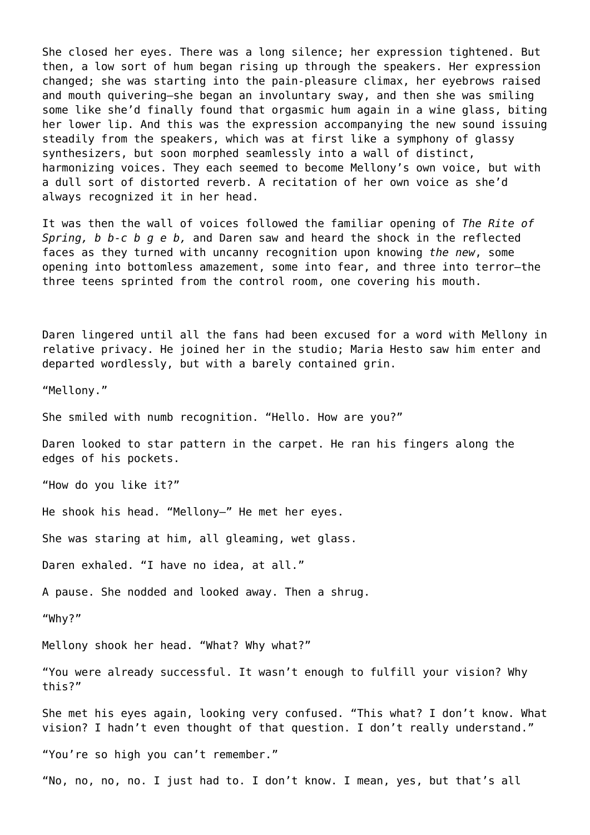She closed her eyes. There was a long silence; her expression tightened. But then, a low sort of hum began rising up through the speakers. Her expression changed; she was starting into the pain-pleasure climax, her eyebrows raised and mouth quivering—she began an involuntary sway, and then she was smiling some like she'd finally found that orgasmic hum again in a wine glass, biting her lower lip. And this was the expression accompanying the new sound issuing steadily from the speakers, which was at first like a symphony of glassy synthesizers, but soon morphed seamlessly into a wall of distinct, harmonizing voices. They each seemed to become Mellony's own voice, but with a dull sort of distorted reverb. A recitation of her own voice as she'd always recognized it in her head.

It was then the wall of voices followed the familiar opening of *The Rite of Spring, b b-c b g e b,* and Daren saw and heard the shock in the reflected faces as they turned with uncanny recognition upon knowing *the new*, some opening into bottomless amazement, some into fear, and three into terror—the three teens sprinted from the control room, one covering his mouth.

Daren lingered until all the fans had been excused for a word with Mellony in relative privacy. He joined her in the studio; Maria Hesto saw him enter and departed wordlessly, but with a barely contained grin.

"Mellony."

She smiled with numb recognition. "Hello. How are you?"

Daren looked to star pattern in the carpet. He ran his fingers along the edges of his pockets.

"How do you like it?"

He shook his head. "Mellony—" He met her eyes.

She was staring at him, all gleaming, wet glass.

Daren exhaled. "I have no idea, at all."

A pause. She nodded and looked away. Then a shrug.

"Why?"

Mellony shook her head. "What? Why what?"

"You were already successful. It wasn't enough to fulfill your vision? Why this?"

She met his eyes again, looking very confused. "This what? I don't know. What vision? I hadn't even thought of that question. I don't really understand."

"You're so high you can't remember."

"No, no, no, no. I just had to. I don't know. I mean, yes, but that's all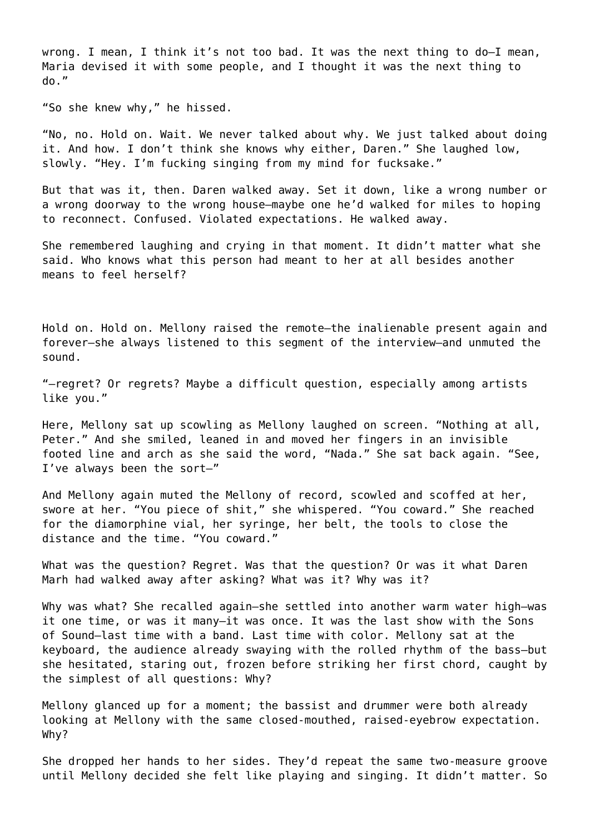wrong. I mean, I think it's not too bad. It was the next thing to do—I mean, Maria devised it with some people, and I thought it was the next thing to do."

"So she knew why," he hissed.

"No, no. Hold on. Wait. We never talked about why. We just talked about doing it. And how. I don't think she knows why either, Daren." She laughed low, slowly. "Hey. I'm fucking singing from my mind for fucksake."

But that was it, then. Daren walked away. Set it down, like a wrong number or a wrong doorway to the wrong house—maybe one he'd walked for miles to hoping to reconnect. Confused. Violated expectations. He walked away.

She remembered laughing and crying in that moment. It didn't matter what she said. Who knows what this person had meant to her at all besides another means to feel herself?

Hold on. Hold on. Mellony raised the remote—the inalienable present again and forever—she always listened to this segment of the interview—and unmuted the sound.

"—regret? Or regrets? Maybe a difficult question, especially among artists like you."

Here, Mellony sat up scowling as Mellony laughed on screen. "Nothing at all, Peter." And she smiled, leaned in and moved her fingers in an invisible footed line and arch as she said the word, "Nada." She sat back again. "See, I've always been the sort—"

And Mellony again muted the Mellony of record, scowled and scoffed at her, swore at her. "You piece of shit," she whispered. "You coward." She reached for the diamorphine vial, her syringe, her belt, the tools to close the distance and the time. "You coward."

What was the question? Regret. Was that the question? Or was it what Daren Marh had walked away after asking? What was it? Why was it?

Why was what? She recalled again-she settled into another warm water high-was it one time, or was it many—it was once. It was the last show with the Sons of Sound—last time with a band. Last time with color. Mellony sat at the keyboard, the audience already swaying with the rolled rhythm of the bass—but she hesitated, staring out, frozen before striking her first chord, caught by the simplest of all questions: Why?

Mellony glanced up for a moment; the bassist and drummer were both already looking at Mellony with the same closed-mouthed, raised-eyebrow expectation. Why?

She dropped her hands to her sides. They'd repeat the same two-measure groove until Mellony decided she felt like playing and singing. It didn't matter. So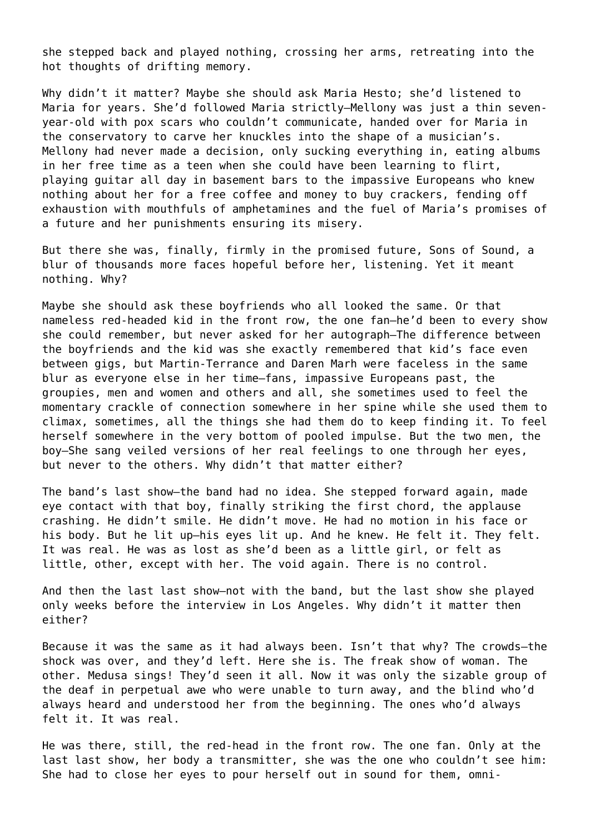she stepped back and played nothing, crossing her arms, retreating into the hot thoughts of drifting memory.

Why didn't it matter? Maybe she should ask Maria Hesto; she'd listened to Maria for years. She'd followed Maria strictly—Mellony was just a thin sevenyear-old with pox scars who couldn't communicate, handed over for Maria in the conservatory to carve her knuckles into the shape of a musician's. Mellony had never made a decision, only sucking everything in, eating albums in her free time as a teen when she could have been learning to flirt, playing guitar all day in basement bars to the impassive Europeans who knew nothing about her for a free coffee and money to buy crackers, fending off exhaustion with mouthfuls of amphetamines and the fuel of Maria's promises of a future and her punishments ensuring its misery.

But there she was, finally, firmly in the promised future, Sons of Sound, a blur of thousands more faces hopeful before her, listening. Yet it meant nothing. Why?

Maybe she should ask these boyfriends who all looked the same. Or that nameless red-headed kid in the front row, the one fan—he'd been to every show she could remember, but never asked for her autograph—The difference between the boyfriends and the kid was she exactly remembered that kid's face even between gigs, but Martin-Terrance and Daren Marh were faceless in the same blur as everyone else in her time—fans, impassive Europeans past, the groupies, men and women and others and all, she sometimes used to feel the momentary crackle of connection somewhere in her spine while she used them to climax, sometimes, all the things she had them do to keep finding it. To feel herself somewhere in the very bottom of pooled impulse. But the two men, the boy—She sang veiled versions of her real feelings to one through her eyes, but never to the others. Why didn't that matter either?

The band's last show—the band had no idea. She stepped forward again, made eye contact with that boy, finally striking the first chord, the applause crashing. He didn't smile. He didn't move. He had no motion in his face or his body. But he lit up—his eyes lit up. And he knew. He felt it. They felt. It was real. He was as lost as she'd been as a little girl, or felt as little, other, except with her. The void again. There is no control.

And then the last last show—not with the band, but the last show she played only weeks before the interview in Los Angeles. Why didn't it matter then either?

Because it was the same as it had always been. Isn't that why? The crowds—the shock was over, and they'd left. Here she is. The freak show of woman. The other. Medusa sings! They'd seen it all. Now it was only the sizable group of the deaf in perpetual awe who were unable to turn away, and the blind who'd always heard and understood her from the beginning. The ones who'd always felt it. It was real.

He was there, still, the red-head in the front row. The one fan. Only at the last last show, her body a transmitter, she was the one who couldn't see him: She had to close her eyes to pour herself out in sound for them, omni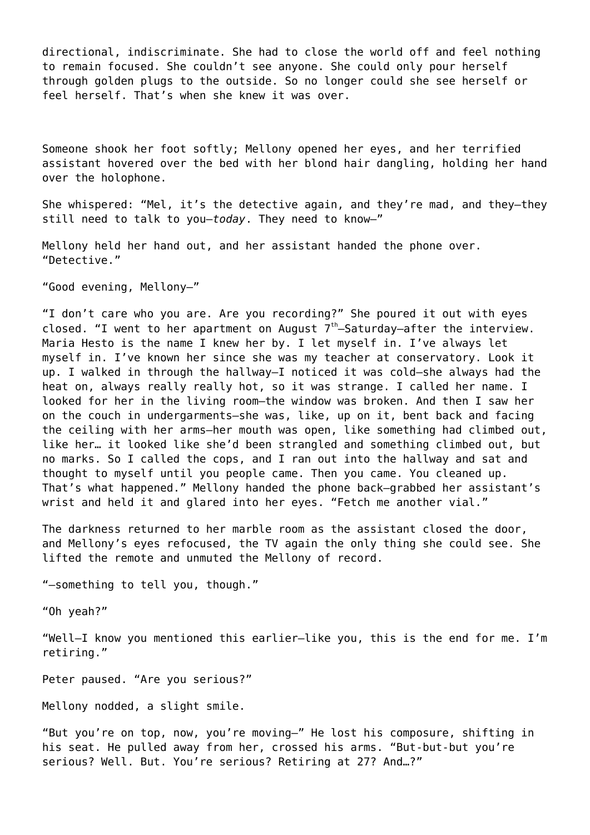directional, indiscriminate. She had to close the world off and feel nothing to remain focused. She couldn't see anyone. She could only pour herself through golden plugs to the outside. So no longer could she see herself or feel herself. That's when she knew it was over.

Someone shook her foot softly; Mellony opened her eyes, and her terrified assistant hovered over the bed with her blond hair dangling, holding her hand over the holophone.

She whispered: "Mel, it's the detective again, and they're mad, and they—they still need to talk to you—*today*. They need to know—"

Mellony held her hand out, and her assistant handed the phone over. "Detective."

"Good evening, Mellony—"

"I don't care who you are. Are you recording?" She poured it out with eyes closed. "I went to her apartment on August  $7<sup>th</sup>$ -Saturday-after the interview. Maria Hesto is the name I knew her by. I let myself in. I've always let myself in. I've known her since she was my teacher at conservatory. Look it up. I walked in through the hallway—I noticed it was cold—she always had the heat on, always really really hot, so it was strange. I called her name. I looked for her in the living room—the window was broken. And then I saw her on the couch in undergarments—she was, like, up on it, bent back and facing the ceiling with her arms—her mouth was open, like something had climbed out, like her… it looked like she'd been strangled and something climbed out, but no marks. So I called the cops, and I ran out into the hallway and sat and thought to myself until you people came. Then you came. You cleaned up. That's what happened." Mellony handed the phone back—grabbed her assistant's wrist and held it and glared into her eyes. "Fetch me another vial."

The darkness returned to her marble room as the assistant closed the door, and Mellony's eyes refocused, the TV again the only thing she could see. She lifted the remote and unmuted the Mellony of record.

"—something to tell you, though."

"Oh yeah?"

"Well—I know you mentioned this earlier—like you, this is the end for me. I'm retiring."

Peter paused. "Are you serious?"

Mellony nodded, a slight smile.

"But you're on top, now, you're moving—" He lost his composure, shifting in his seat. He pulled away from her, crossed his arms. "But-but-but you're serious? Well. But. You're serious? Retiring at 27? And…?"